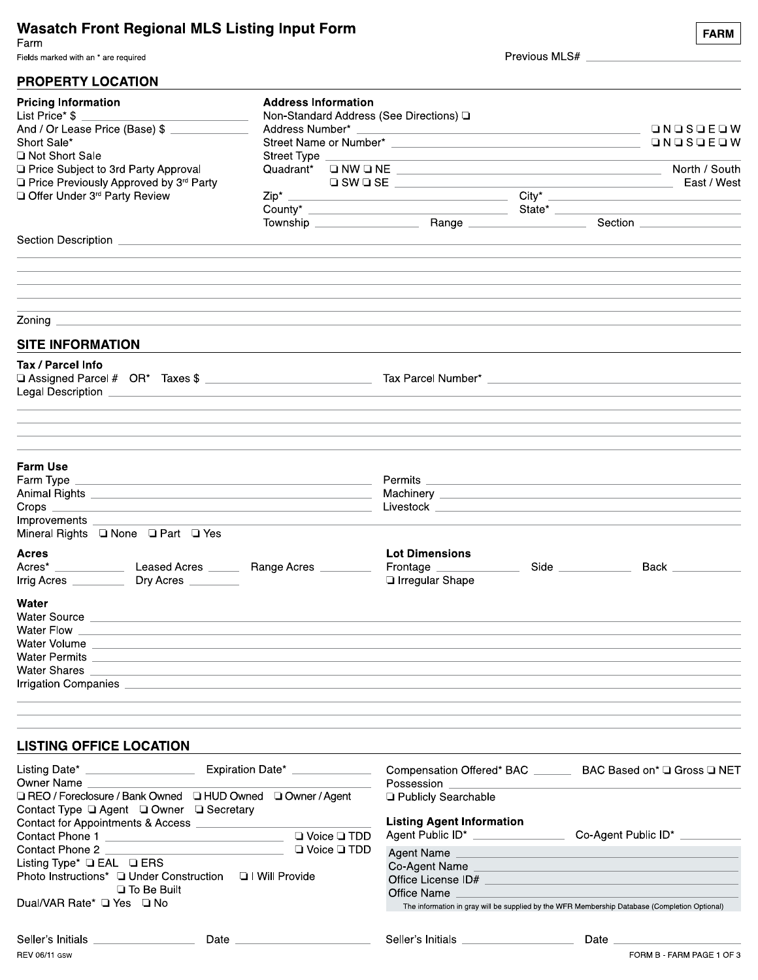# **Wasatch Front Regional MLS Listing Input Form**

Farm Fields marked with an \* are required

Previous MLS#

| <b>PROPERTY LOCATION</b>                                                                                                                                                                                                                                                                                                                                                           |                                                                                                   |  |                                                                      |                                                                |                                                                                                                                                                                                                                                                                                                                                                                                                                                                                   |               |
|------------------------------------------------------------------------------------------------------------------------------------------------------------------------------------------------------------------------------------------------------------------------------------------------------------------------------------------------------------------------------------|---------------------------------------------------------------------------------------------------|--|----------------------------------------------------------------------|----------------------------------------------------------------|-----------------------------------------------------------------------------------------------------------------------------------------------------------------------------------------------------------------------------------------------------------------------------------------------------------------------------------------------------------------------------------------------------------------------------------------------------------------------------------|---------------|
| <b>Pricing Information</b><br>List Price* \$<br>And / Or Lease Price (Base) \$<br>Short Sale*<br>Not Short Sale                                                                                                                                                                                                                                                                    | <b>Address Information</b><br>Non-Standard Address (See Directions) □<br>Street Type ____________ |  |                                                                      | $\Box N \Box S \Box E \Box W$<br>$\Box N \Box S \Box E \Box W$ |                                                                                                                                                                                                                                                                                                                                                                                                                                                                                   |               |
| Price Subject to 3rd Party Approval                                                                                                                                                                                                                                                                                                                                                |                                                                                                   |  |                                                                      |                                                                |                                                                                                                                                                                                                                                                                                                                                                                                                                                                                   | North / South |
| Price Previously Approved by 3rd Party                                                                                                                                                                                                                                                                                                                                             |                                                                                                   |  |                                                                      |                                                                | $\square$ SW $\square$ SE $\square$                                                                                                                                                                                                                                                                                                                                                                                                                                               |               |
| Offer Under 3rd Party Review                                                                                                                                                                                                                                                                                                                                                       |                                                                                                   |  |                                                                      |                                                                | $Zip^*$ $Clity^*$ $Clity^*$ $Clity^*$ $Clity^*$ $Clity^*$ $Clity^*$ $Clity^*$ $Clity^*$ $Clity^*$ $Clity^*$ $Clity^*$ $Clity^*$ $Clity^*$ $Clity^*$ $Clity^*$ $Clity^*$ $Clity^*$ $Clity^*$ $Clity^*$ $Clity^*$ $Clity^*$ $Clity^*$ $Clity^*$ $Clity^*$ $Clity^*$ $Clity^*$ $Clity^*$ $Clity^*$ $Clity^*$ $Clity^*$ $Clity^*$                                                                                                                                                     |               |
|                                                                                                                                                                                                                                                                                                                                                                                    |                                                                                                   |  |                                                                      |                                                                | <b>Section Section</b>                                                                                                                                                                                                                                                                                                                                                                                                                                                            |               |
| Section Description <b>example and the control of the control of the control of the control of the control of the control of the control of the control of the control of the control of the control of the control of the contr</b>                                                                                                                                               |                                                                                                   |  |                                                                      |                                                                |                                                                                                                                                                                                                                                                                                                                                                                                                                                                                   |               |
|                                                                                                                                                                                                                                                                                                                                                                                    |                                                                                                   |  |                                                                      |                                                                |                                                                                                                                                                                                                                                                                                                                                                                                                                                                                   |               |
|                                                                                                                                                                                                                                                                                                                                                                                    |                                                                                                   |  |                                                                      |                                                                |                                                                                                                                                                                                                                                                                                                                                                                                                                                                                   |               |
| <b>SITE INFORMATION</b>                                                                                                                                                                                                                                                                                                                                                            |                                                                                                   |  |                                                                      |                                                                |                                                                                                                                                                                                                                                                                                                                                                                                                                                                                   |               |
| Tax / Parcel Info                                                                                                                                                                                                                                                                                                                                                                  |                                                                                                   |  |                                                                      |                                                                |                                                                                                                                                                                                                                                                                                                                                                                                                                                                                   |               |
| <b>Farm Use</b>                                                                                                                                                                                                                                                                                                                                                                    |                                                                                                   |  |                                                                      |                                                                | <b>Permits</b> <u>and the contract of the contract of the contract of the contract of the contract of the contract of the contract of the contract of the contract of the contract of the contract of the contract of the contract of</u><br>Livestock <b>Executive Contract Contract Contract Contract Contract Contract Contract Contract Contract Contract Contract Contract Contract Contract Contract Contract Contract Contract Contract Contract Contract Contract Con</b> |               |
| Mineral Rights I None I Part I Yes                                                                                                                                                                                                                                                                                                                                                 |                                                                                                   |  |                                                                      |                                                                |                                                                                                                                                                                                                                                                                                                                                                                                                                                                                   |               |
| Acres<br>Irrig Acres _____________ Dry Acres ________                                                                                                                                                                                                                                                                                                                              |                                                                                                   |  | <b>Lot Dimensions</b><br>Frontage _______________<br>Irregular Shape |                                                                | Side<br>Back ____________                                                                                                                                                                                                                                                                                                                                                                                                                                                         |               |
| Water<br>Water Source<br><b>Water Flow</b><br>Water Volume <b>Water</b> Volume <b>Water</b> Volume <b>Water</b> Volume<br>Water Permits <b>Contract Contract Contract Contract Contract Contract Contract Contract Contract Contract Contract Contract Contract Contract Contract Contract Contract Contract Contract Contract Contract Contract Contract </b><br>Water Shares ___ |                                                                                                   |  |                                                                      |                                                                |                                                                                                                                                                                                                                                                                                                                                                                                                                                                                   |               |
| <b>LISTING OFFICE LOCATION</b><br>Listing Date* <u>____________________</u>                                                                                                                                                                                                                                                                                                        | Expiration Date* ______________                                                                   |  |                                                                      |                                                                | Compensation Offered* BAC ________ BAC Based on* Q Gross Q NET                                                                                                                                                                                                                                                                                                                                                                                                                    |               |
| <b>Owner Name</b>                                                                                                                                                                                                                                                                                                                                                                  |                                                                                                   |  | Possession                                                           |                                                                |                                                                                                                                                                                                                                                                                                                                                                                                                                                                                   |               |
| REO / Foreclosure / Bank Owned Q HUD Owned Q Owner / Agent                                                                                                                                                                                                                                                                                                                         |                                                                                                   |  | □ Publicly Searchable                                                |                                                                |                                                                                                                                                                                                                                                                                                                                                                                                                                                                                   |               |
| Contact Type □ Agent □ Owner □ Secretary<br>Contact for Appointments & Access                                                                                                                                                                                                                                                                                                      |                                                                                                   |  | <b>Listing Agent Information</b>                                     |                                                                |                                                                                                                                                                                                                                                                                                                                                                                                                                                                                   |               |

**Listing Agent Information**<br>Agent Public ID\*

| □ Voice □ TDD<br>□ Voice □ TDD<br>ovide | Agent Public ID*   | Co-Agent Public ID*                                                                           |  |  |  |  |
|-----------------------------------------|--------------------|-----------------------------------------------------------------------------------------------|--|--|--|--|
|                                         | <b>Agent Name</b>  |                                                                                               |  |  |  |  |
|                                         | Co-Agent Name      |                                                                                               |  |  |  |  |
|                                         | Office License ID# |                                                                                               |  |  |  |  |
|                                         | Office Name        |                                                                                               |  |  |  |  |
|                                         |                    | The information in gray will be sunnlied by the WER Membership Database (Completion Optional) |  |  |  |  |

will be supplied by the WFR M

| Seller's Initials    | Date |  |
|----------------------|------|--|
| <b>REV 06/11 GSW</b> |      |  |

Photo Instructions\* □ Under Construction □ I Will Provide □ To Be Built

Contact Phone 1

Contact Phone 2

Listing Type\* □ EAL □ ERS

Dual/VAR Rate\* Q Yes Q No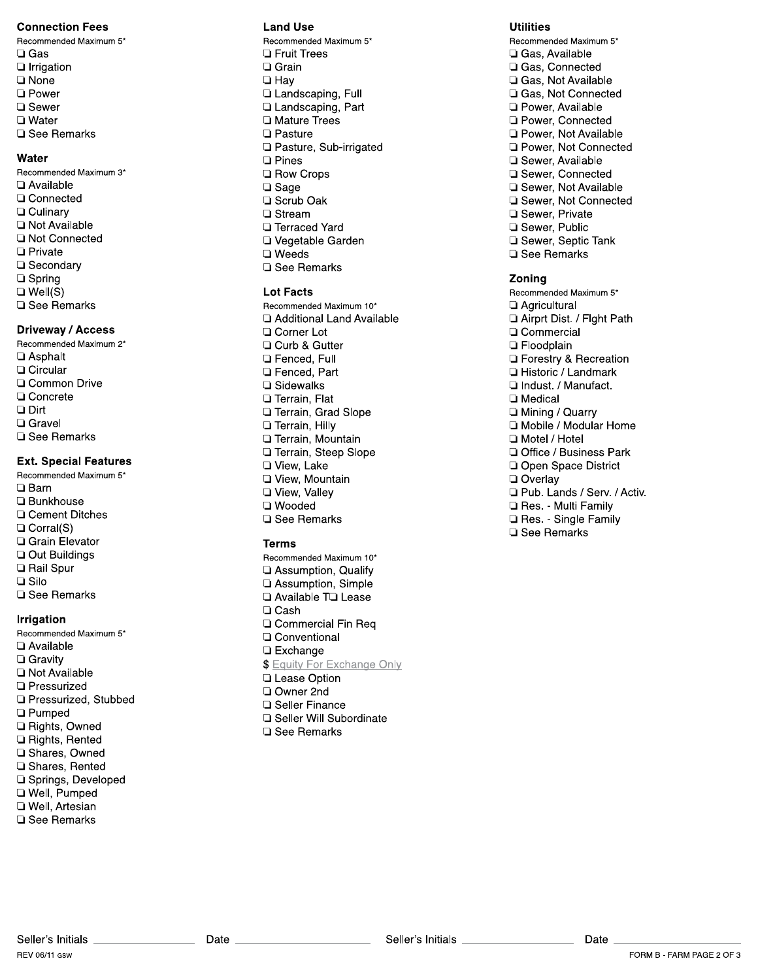#### **Connection Fees**

Recommended Maximum 5\*  $\Box$  Gas  $\Box$  Irrigation  $\square$  None **D** Power □ Sewer □ Water □ See Remarks

## Water

Recommended Maximum 3\* Available □ Connected **Q** Culinary Not Available □ Not Connected **D** Private □ Secondary  $\Box$  Spring  $\Box$  Well(S) □ See Remarks

## **Driveway / Access**

Recommended Maximum 2\* □ Asphalt □ Circular □ Common Drive □ Concrete  $\Box$  Dirt **Q** Gravel □ See Remarks

#### **Ext. Special Features**

Recommended Maximum 5\*  $\square$  Barn  $\Box$  Bunkhouse □ Cement Ditches  $\Box$  Corral(S) Grain Elevator □ Out Buildings Rail Spur  $\Box$  Silo □ See Remarks **Irrigation** 

## Recommended Maximum 5\* Available □ Gravity

- Not Available □ Pressurized □ Pressurized. Stubbed  $\Box$  Pumped □ Rights, Owned Rights, Rented Shares, Owned Shares, Rented Springs, Developed □ Well, Pumped □ Well. Artesian
- □ See Remarks

## **Land Use**

Recommended Maximum 5\* **D** Fruit Trees □ Grain  $\Box$  Hav Landscaping, Full Landscaping, Part Mature Trees  $\Box$  Pasture Pasture, Sub-irrigated  $\Box$  Pines **Q** Row Crops □ Sage □ Scrub Oak  $\Box$  Stream □ Terraced Yard Vegetable Garden □ Weeds □ See Remarks

#### **Lot Facts**

Recommended Maximum 10\* Additional Land Available □ Corner Lot □ Curb & Gutter **D** Fenced, Full □ Fenced. Part □ Sidewalks Terrain, Flat □ Terrain. Grad Slope Terrain, Hilly **Terrain, Mountain** Terrain, Steep Slope View. Lake View, Mountain View, Valley □ Wooded □ See Remarks

## **Terms**

Recommended Maximum 10\* Assumption, Qualify Assumption, Simple Available TQ Lease □ Cash □ Commercial Fin Req □ Conventional □ Exchange \$ Equity For Exchange Only □ Lease Option Owner 2nd □ Seller Finance □ Seller Will Subordinate □ See Remarks

#### **Utilities**

Recommended Maximum 5\* Gas, Available Gas, Connected Gas, Not Available □ Gas, Not Connected Power, Available Power, Connected Power, Not Available Power, Not Connected □ Sewer. Available □ Sewer. Connected □ Sewer, Not Available □ Sewer. Not Connected □ Sewer, Private □ Sewer. Public □ Sewer, Septic Tank □ See Remarks

## Zonina

Recommended Maximum 5\* Agricultural Airprt Dist. / Flght Path □ Commercial □ Floodplain □ Forestry & Recreation □ Historic / Landmark Indust. / Manufact. □ Medical □ Mining / Quarry Mobile / Modular Home □ Motel / Hotel Office / Business Park Open Space District Overlay Pub. Lands / Serv. / Activ. Res. - Multi Family Res. - Single Family □ See Remarks